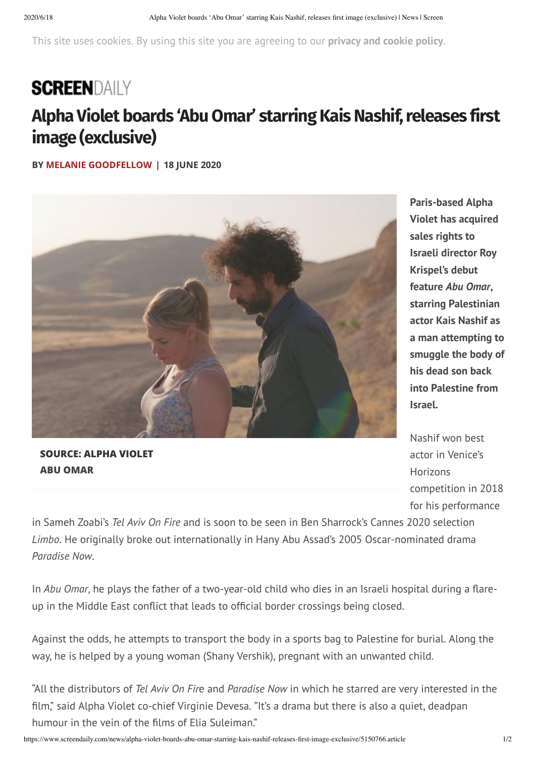This site uses cookies. By using this site you are agreeing to our **[privacy](http://www.mb-insight.com/mbi-privacy-and-cookies-policy.html) and cookie policy**.

## **SCREENDAILY**

## **Alpha Violet boards 'AbuOmar' starring KaisNashif, releases first image (exclusive)**

**BY MELANIE [GOODFELLOW](https://www.screendaily.com/melanie-goodfellow/1100388.bio) | 18 JUNE 2020**



**Paris-based Alpha Violet has acquired sales rights to Israeli director Roy Krispel's debut feature** *Abu Omar***, starring Palestinian actor Kais Nashif as a man attempting to smuggle the body of his dead son back into Palestine from Israel.**

**SOURCE: ALPHA VIOLET ABU OMAR**

Nashif won best actor in Venice's Horizons competition in 2018 for his performance

in Sameh Zoabi's *Tel Aviv On Fire* and is soon to be seen in Ben Sharrock's Cannes 2020 selection *Limbo*. He originally broke out internationally in Hany Abu Assad's 2005 Oscar-nominated drama *Paradise Now*.

In *Abu Omar*, he plays the father of a two-year-old child who dies in an Israeli hospital during a flareup in the Middle East conflict that leads to official border crossings being closed.

Against the odds, he attempts to transport the body in a sports bag to Palestine for burial. Along the way, he is helped by a young woman (Shany Vershik), pregnant with an unwanted child.

"All the distributors of *Tel Aviv On Fir*e and *Paradise Now* in which he starred are very interested in the film," said Alpha Violet co-chief Virginie Devesa. "It's a drama but there is also a quiet, deadpan humour in the vein of the films of Elia Suleiman."